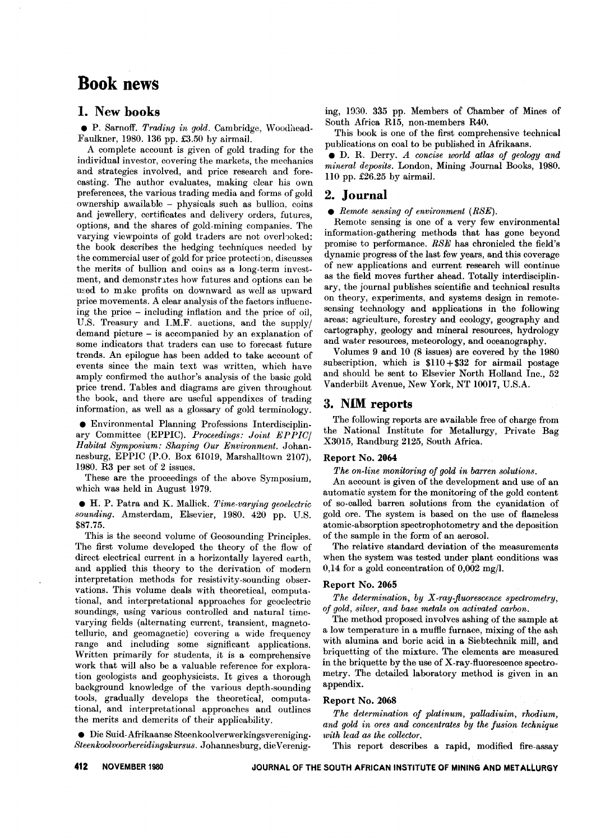# **Book** news

## 1. New books

. P. Sarnoff. *Trading in gold.* Cambridge, Woodhead-Faulkner, 1980. 136 pp. £3.50 by airmail.

A complete account is given of gold trading for the individual investor, covering the markets, the mechanics and strategies involved, and price research and forecasting. The author evaluates, making clear his own preferences, the various trading media and forms of gold ownership awailable - physicals such as bullion, coins and jewellery, certificates and delivery orders, futures, options, and the shares of gold-mining companies. The varying viewpoints of gold traders are not overhoked: the book describes the hedging techniques needed by the commercial user of gold for price protection, discusses the merits of bullion and coins as a long-term investment, and demonstrates how futures and options can be used to make profits on downward as well as upward price movements. A clear analysis of the factors influencing the price - including inflation and the price of oil, U.S. Treasury and I.M.F. auctions, and the supply/ demand picture - is accompanied by an explanation of some indicators that traders can use to forecast future trends. An epilogue has been added to take account of events since the main text was written, which have amply confirmed the author's analysis of the basic gold price trend. Tables and diagrams are given throughout the book, and there are useful appendixes of trading information, as well as a glossary of gold terminology.

. Environmental Planning Professions Interdisciplinary Committee (EPPIC). *Proceedings: Joint EPPIC/ Habitat Symposium: Shaping Our Environment.* Johannesburg, EPPIC (P.O. Box 61019, Marshalltown 2107), 1980. R3 per set of 2 issues.

These are the proceedings of the above Symposium, which was held in August 1979.

. H. P. Patra and K. Mallick. *Time-varying geoelectric sounding.* Amsterdam, Elsevier, 1980. 420 pp. U.S. \$87.75.

This is the second volume of Geosounding Principles. The first volume developed the theory of the flow of direct electrical current in a horizontally layered earth, and applied this theory to the derivation of modern interpretation methods for resistivity-sounding observations. This volume deals with theoretical, computational, and interpretational approaches for geoelectric soundings, using various controlled and natural timevarying fields (alternating current, transient, magnetotelluric, and geomagnetic) covering a wide frequency range and including some significant applications. Written primarily for students, it is a comprehensive work that will also be a valuable reference for exploration geologists and geophysicists. It gives a thorough background knowledge of the various depth-sounding tools, gradually develops the theoretical, computational, and interpretational approaches and outlines the merits and demerits of their applicability.

 $\bullet$  Die Suid-Afrikaanse Steenkoolverwerkingsvereniging.  $Steenkoolvoorberedingskursus.$  Johannesburg, die Vereniging, 1930. 335 pp. Members of Chamber of Mines of South Africa R15, non-members R40.

This book is one of the first comprehensive technical publications on coal to be published in Afrikaans.

. D. R. Derry. *<sup>A</sup> concise world atlas of geology and mineral deposits.* London, Mining Journal Books, 1980. 110 pp.  $\pounds26.25$  by airmail.

### 2. Journal

. *Remote sensing of environment (RSE).*

Remote sensing is one of a very few environmental information-gathering methods that has gone beyond promise to performance. *RSE* has chronicled the field's dynamic progress of the last few years, and this coverage of new applications and current research will continue as the field moves further ahead. Totally interdisciplinary, the journal publishes scientific and technical results on theory, experiments, and systems design in remotesensing technology and applications in the following areas: agriculture, forestry and ecology, geography and cartography, geology and mineral resources, hydrology and water resources, meteorology, and oceanography.

Volumes 9 and 10 (8 issues) are covered by the 1980 subscription, which is  $$110 + $32$  for airmail postage and should be sent to Elsevier North Holland Inc., 52 Vanderbilt Avenue, New York, NT 10017, D.S.A.

### 3. NIM reports

The following reports are available free of charge from the National Institute for Metallurgy, Private Bag X3015, Randburg 2125, South Africa.

### Report No. 2064

*The on-line monitoring of gold in barren solutions.*

An account is given of the development and use of an automatic system for the monitoring of the gold content of so-called barren solutions from the cyanidation of gold ore. The system is based on the use of flameless atomic-absorption spectrophotometry and the deposition of the sample in the form of an aerosol.

The relative standard deviation of the measurements when the system was tested under plant conditions was  $0,14$  for a gold concentration of  $0,002 \text{ mg/l}$ .

#### Report No. 2065

*The determination, by X-ray-fluorescence spectrometry, of gold, silver, and base metals on activated carbon.*

The method proposed involves ashing of the sample at a low temperature in a muffle furnace, mixing of the ash with alumina and boric acid in a Siebtechnik mill, and briquetting of the mixture. The elements are measured in the briquette by the use of X-ray-fluorescence spectrometry. The detailed laboratory method is given in an appendix.

#### Report No. 2068

*The determination of platinum, palladiuim, rhodium, and gold in ores and concentrates by the fusion technique with lead as the collector.*

This report describes a rapid, modified fire-assay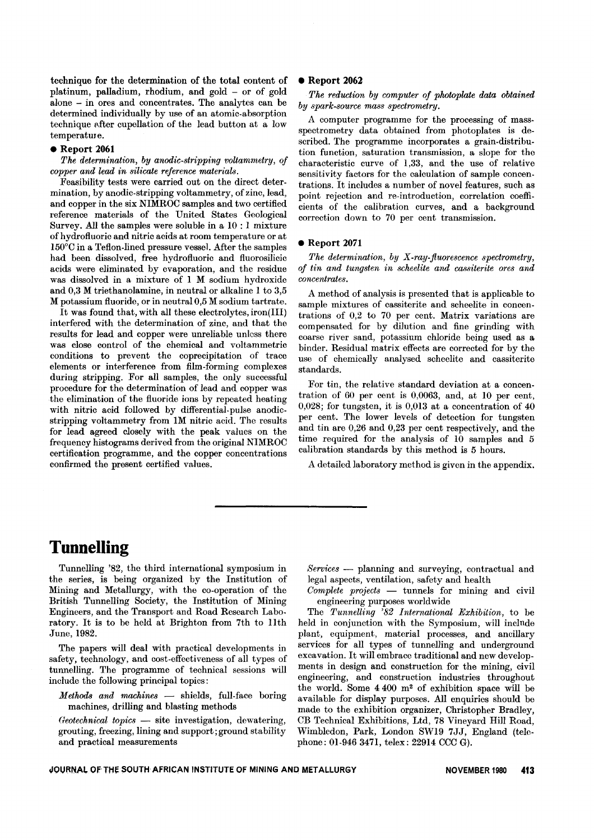technique for the determination of the total content of platinum, palladium, rhodium, and gold - or of gold alone - in ores and concentrates. The analytes can be determined individually by use of an atomic-absorption technique after cupellation of the lead button at a low temperature.

### **Report 2061**

#### *The determination, by anodic-stripping voltammetry, of copper and lead in silicate reference materials.*

Feasibility tests were carried out on the direct determination, by anodic-stripping voltammetry, of zinc, lead, and copper in the six NIMROC samples and two certified reference materials of the United States Geological Survey. All the samples were soluble in a 10 : 1 mixture ofhydrofluoric and nitric acids at room temperature or at 150°C in a Teflon-lined pressure vessel. After the samples had been dissolved, free hydrofluoric and fluorosilicic acids were eliminated by evaporation, and the residue was dissolved in a mixture of 1 M sodium hydroxide and 0,3 M triethanolamine, in neutral or alkaline 1 to 3,5 M potassium fluoride, or in neutral 0,5 M sodium tartrate.

It was found that, with all these electrolytes, iron(III) interfered with the determination of zinc, and that the results for lead and copper were unreliable unless there was close control of the chemical and voltammetric conditions to prevent the coprecipitation of trace elements or interference from film-forming complexes during stripping. For all samples, the only successful procedure for the determination of lead and copper was the elimination of the fluoride ions by repeated heating with nitric acid followed by differential-pulse anodicstripping voltammetry from IM nitric acid. The results for lead agreed closely with the peak values on the frequency histograms derived from the original NIMROC certification programme, and the copper concentrations confirmed the present certified values.

#### **.** Report 2062

*The reduction by computer of photoplate data obtained by spark-source mass spectrornetry.*

A computer programme for the processing of massspectrometry data obtained from photoplates is described. The programme incorporates a grain-distribution function, saturation transmission, a slope for the characteristic curve of 1,33, and the use of relative sensitivity factors for the calculation of sample concentrations. It includes a number of novel features, such as point rejection and re-introduction, correlation coefficients of the calibration curves, and a background correction down to 70 per cent transmission.

#### **Report 2071**

*The determination, by X-ray-fluorescence spectrometry,*  $of$  *tin and tungsten in scheelite and cassiterite ores and concentrates.*

A method of analysis is presented that is applicable to sample mixtures of cassiterite and scheelite in concentrations of 0,2 to 70 per cent. Matrix variations are compensated for by dilution and fine grinding with coarse river sand, potassium chloride being used as a binder. Residual matrix effects are corrected for by the use of chemically analysed scheelite and cassiterite standards.

For tin, the relative standard deviation at a concentration of 60 per cent is 0,0063, and, at 10 per cent, 0,028; for tungsten, it is 0,013 at a concentration of 40 per cent. The lower levels of detection for tungsten and tin are 0,26 and 0,23 per cent respectively, and the time required for the analysis of 10 samples and 5 calibration standards by this method is 5 hours.

A detailed laboratory method is given in the appendix.

## **Tunnelling**

Tunnelling '82, the third international symposium in the series, is being organized by the Institution of Mining and Metallurgy, with the co-operation of the British Tunnelling Society, the Institution of Mining Engineers, and the Transport and Road Research Laboratory. It is to be held at Brighton from 7th to IIth June, 1982.

The papers will deal with practical developments in safety, technology, and cost-effectiveness of all types of tunnelling. The programme of technical sessions will include the following principal topics:

*Methods and machines* - shields, full-face boring machines, drilling and blasting methods

*Geotechnical topics* — site investigation, dewaterin grouting, freezing, lining and support; ground stability and practical measurements

*Services* - planning and surveying, contractual and legal aspects, ventilation, safety and health

*Complete projects* - tunnels for mining and civil engineering purposes worldwide

The *Tunnelling'* 82 *International Exhibition,* to be held in conjunction with the Symposium, will include plant, equipment, material processes, and ancillary services for all types of tunnelling and underground excavation. It will embrace traditional and new developments in design and construction for the mining, civil engineering, and construction industries throughout the world. Some 4 400 m2 of exhibition space will be available for display purposes. All enquiries should be made to the exhibition organizer, Christopher Bradley, CB Technical Exhibitions, Ltd, 78 Vineyard Hill Road, Wimbledon, Park, London SW19 7JJ, England (telephone: 01-9463471, telex: 22914 CCC G).